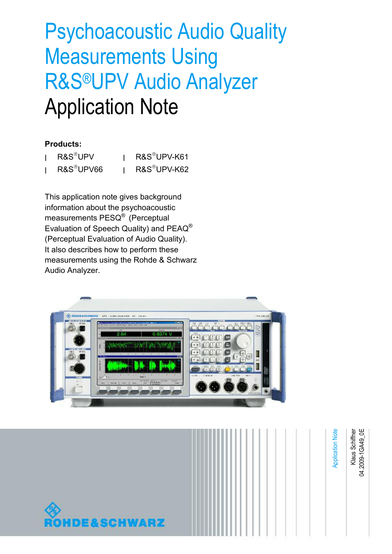# Psychoacoustic Audio Quality Measurements Using R&S®UPV Audio Analyzer Application Note

### **Products:**

| R&S <sup>®</sup> UPV   | R&S <sup>®</sup> UPV-K61 |
|------------------------|--------------------------|
| R&S <sup>®</sup> UPV66 | R&S®UPV-K62              |

This application note gives background information about the psychoacoustic measurements PESQ® (Perceptual Evaluation of Speech Quality) and PEAQ® (Perceptual Evaluation of Audio Quality). It also describes how to perform these measurements using the Rohde & Schwarz Audio Analyzer.



Klaus Schiffner<br>04.2009-1GA49\_0E Klaus Schiffner Application Note **Application Note** 04.2009-1G **DE&SCHWARZ**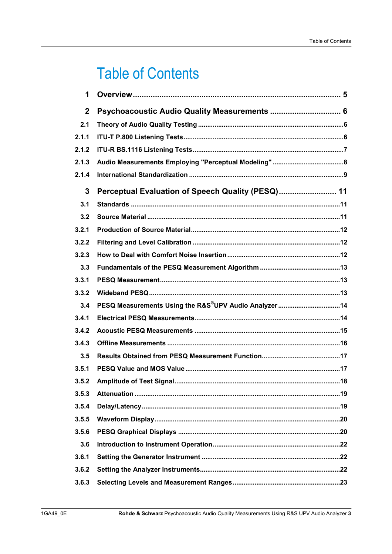# **Table of Contents**

| 1            |                                                                   |
|--------------|-------------------------------------------------------------------|
| $\mathbf{2}$ | Psychoacoustic Audio Quality Measurements  6                      |
| 2.1          |                                                                   |
| 2.1.1        |                                                                   |
| 2.1.2        |                                                                   |
| 2.1.3        |                                                                   |
| 2.1.4        |                                                                   |
| 3            | Perceptual Evaluation of Speech Quality (PESQ) 11                 |
| 3.1          |                                                                   |
| 3.2          |                                                                   |
| 3.2.1        |                                                                   |
| 3.2.2        |                                                                   |
| 3.2.3        |                                                                   |
| 3.3          |                                                                   |
| 3.3.1        |                                                                   |
| 3.3.2        |                                                                   |
| 3.4          | PESQ Measurements Using the R&S <sup>®</sup> UPV Audio Analyzer14 |
| 3.4.1        |                                                                   |
| 3.4.2        |                                                                   |
| 3.4.3        |                                                                   |
| 3.5          |                                                                   |
| 3.5.1        |                                                                   |
| 3.5.2        |                                                                   |
| 3.5.3        |                                                                   |
| 3.5.4        |                                                                   |
| 3.5.5        |                                                                   |
| 3.5.6        |                                                                   |
| 3.6          |                                                                   |
| 3.6.1        |                                                                   |
| 3.6.2        |                                                                   |
| 3.6.3        |                                                                   |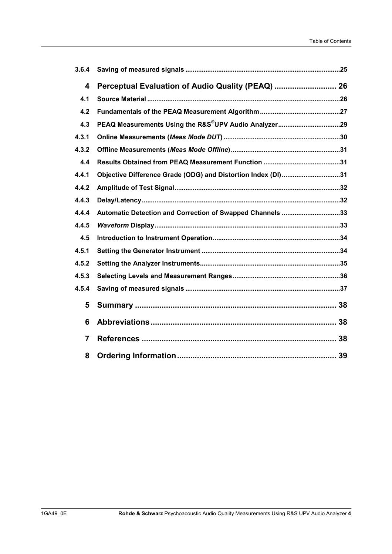| 3.6.4          |                                                              |    |
|----------------|--------------------------------------------------------------|----|
| 4              | Perceptual Evaluation of Audio Quality (PEAQ)  26            |    |
| 4.1            |                                                              |    |
| 4.2            |                                                              |    |
| 4.3            |                                                              |    |
| 4.3.1          |                                                              |    |
| 4.3.2          |                                                              |    |
| 4.4            |                                                              |    |
| 4.4.1          | Objective Difference Grade (ODG) and Distortion Index (DI)31 |    |
| 4.4.2          |                                                              |    |
| 4.4.3          |                                                              |    |
| 4.4.4          | Automatic Detection and Correction of Swapped Channels 33    |    |
| 4.4.5          |                                                              |    |
| 4.5            |                                                              |    |
| 4.5.1          |                                                              |    |
| 4.5.2          |                                                              |    |
| 4.5.3          |                                                              |    |
| 4.5.4          |                                                              |    |
| 5              |                                                              |    |
| 6              |                                                              | 38 |
| $\overline{7}$ |                                                              |    |
| 8              |                                                              |    |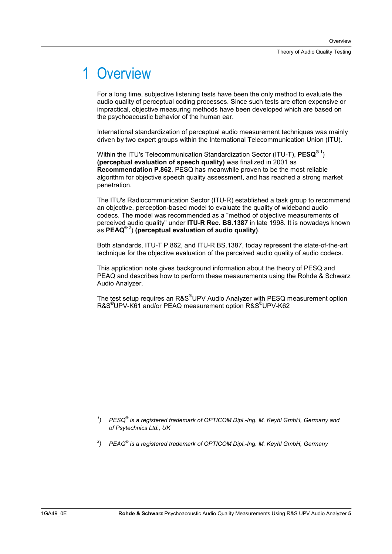# 1 Overview

For a long time, subjective listening tests have been the only method to evaluate the audio quality of perceptual coding processes. Since such tests are often expensive or impractical, objective measuring methods have been developed which are based on the psychoacoustic behavior of the human ear.

International standardization of perceptual audio measurement techniques was mainly driven by two expert groups within the International Telecommunication Union (ITU).

Within the ITU's Telecommunication Standardization Sector (ITU-T), **PESQ®** <sup>1</sup> ) **(perceptual evaluation of speech quality)** was finalized in 2001 as **Recommendation P.862**. PESQ has meanwhile proven to be the most reliable algorithm for objective speech quality assessment, and has reached a strong market penetration.

The ITU's Radiocommunication Sector (ITU-R) established a task group to recommend an objective, perception-based model to evaluate the quality of wideband audio codecs. The model was recommended as a "method of objective measurements of perceived audio quality" under **ITU-R Rec. BS.1387** in late 1998. It is nowadays known as **PEAQ®** <sup>2</sup> ) **(perceptual evaluation of audio quality)**.

Both standards, ITU-T P.862, and ITU-R BS.1387, today represent the state-of-the-art technique for the objective evaluation of the perceived audio quality of audio codecs.

This application note gives background information about the theory of PESQ and PEAQ and describes how to perform these measurements using the Rohde & Schwarz Audio Analyzer.

The test setup requires an R&S®UPV Audio Analyzer with PESQ measurement option R&S® UPV-K61 and/or PEAQ measurement option R&S® UPV-K62

- *1 ) PESQ® is a registered trademark of OPTICOM Dipl.-Ing. M. Keyhl GmbH, Germany and of Psytechnics Ltd., UK*
- *2 ) PEAQ® is a registered trademark of OPTICOM Dipl.-Ing. M. Keyhl GmbH, Germany*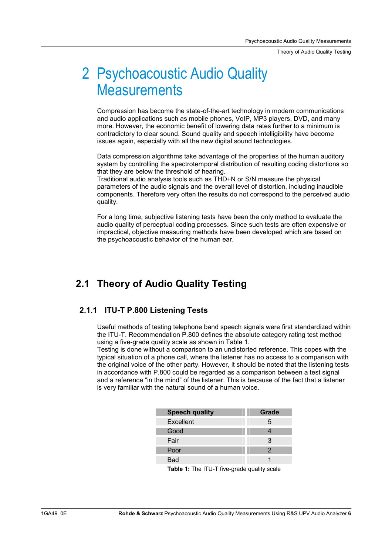Theory of Audio Quality Testing

# 2 Psychoacoustic Audio Quality **Measurements**

Compression has become the state-of-the-art technology in modern communications and audio applications such as mobile phones, VoIP, MP3 players, DVD, and many more. However, the economic benefit of lowering data rates further to a minimum is contradictory to clear sound. Sound quality and speech intelligibility have become issues again, especially with all the new digital sound technologies.

Data compression algorithms take advantage of the properties of the human auditory system by controlling the spectrotemporal distribution of resulting coding distortions so that they are below the threshold of hearing.

Traditional audio analysis tools such as THD+N or S/N measure the physical parameters of the audio signals and the overall level of distortion, including inaudible components. Therefore very often the results do not correspond to the perceived audio quality.

For a long time, subjective listening tests have been the only method to evaluate the audio quality of perceptual coding processes. Since such tests are often expensive or impractical, objective measuring methods have been developed which are based on the psychoacoustic behavior of the human ear.

### **2.1 Theory of Audio Quality Testing**

### **2.1.1 ITU-T P.800 Listening Tests**

Useful methods of testing telephone band speech signals were first standardized within the ITU-T. Recommendation P.800 defines the absolute category rating test method using a five-grade quality scale as shown in Table 1.

Testing is done without a comparison to an undistorted reference. This copes with the typical situation of a phone call, where the listener has no access to a comparison with the original voice of the other party. However, it should be noted that the listening tests in accordance with P.800 could be regarded as a comparison between a test signal and a reference "in the mind" of the listener. This is because of the fact that a listener is very familiar with the natural sound of a human voice.

| <b>Speech quality</b> | Grade |
|-----------------------|-------|
| Excellent             | 5     |
| Good                  |       |
| Fair                  | 3     |
| Poor                  | 2     |
| <b>Bad</b>            |       |

**Table 1:** The ITU-T five-grade quality scale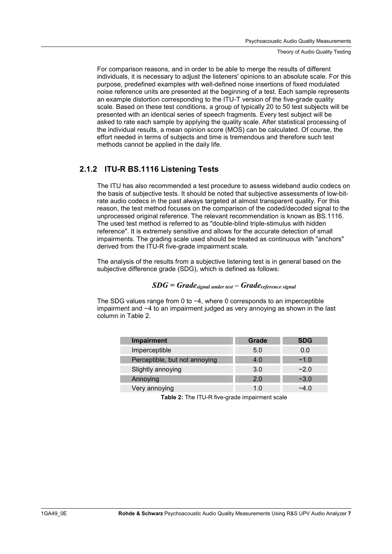Theory of Audio Quality Testing

For comparison reasons, and in order to be able to merge the results of different individuals, it is necessary to adjust the listeners' opinions to an absolute scale. For this purpose, predefined examples with well-defined noise insertions of fixed modulated noise reference units are presented at the beginning of a test. Each sample represents an example distortion corresponding to the ITU-T version of the five-grade quality scale. Based on these test conditions, a group of typically 20 to 50 test subjects will be presented with an identical series of speech fragments. Every test subject will be asked to rate each sample by applying the quality scale. After statistical processing of the individual results, a mean opinion score (MOS) can be calculated. Of course, the effort needed in terms of subjects and time is tremendous and therefore such test methods cannot be applied in the daily life.

### **2.1.2 ITU-R BS.1116 Listening Tests**

I

I

I

The ITU has also recommended a test procedure to assess wideband audio codecs on the basis of subjective tests. It should be noted that subjective assessments of low-bitrate audio codecs in the past always targeted at almost transparent quality. For this reason, the test method focuses on the comparison of the coded/decoded signal to the unprocessed original reference. The relevant recommendation is known as BS.1116. The used test method is referred to as "double-blind triple-stimulus with hidden reference". It is extremely sensitive and allows for the accurate detection of small impairments. The grading scale used should be treated as continuous with "anchors" derived from the ITU-R five-grade impairment scale.

The analysis of the results from a subjective listening test is in general based on the subjective difference grade (SDG), which is defined as follows:

### *SDG = Gradesignal under test – Gradereference signal*

The SDG values range from 0 to  $-4$ , where 0 corresponds to an imperceptible impairment and  $-4$  to an impairment judged as very annoying as shown in the last column in Table 2.

| <b>Impairment</b>             | Grade | <b>SDG</b> |
|-------------------------------|-------|------------|
| Imperceptible                 | 5.0   | 0.0        |
| Perceptible, but not annoying | 4.0   | $-1.0$     |
| Slightly annoying             | 3.0   | $-2.0$     |
| Annoying                      | 2 O   | $-3.0$     |
| Very annoying                 | 1 በ   | -4 O       |

**Table 2:** The ITU-R five-grade impairment scale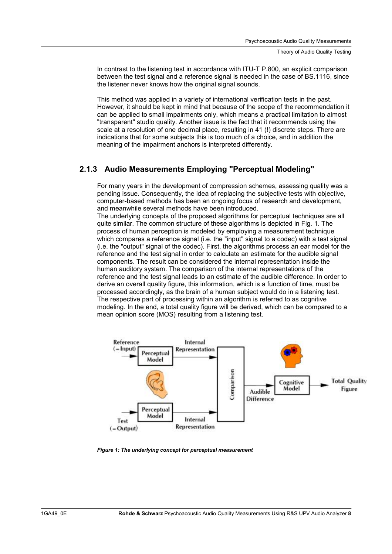In contrast to the listening test in accordance with ITU-T P.800, an explicit comparison between the test signal and a reference signal is needed in the case of BS.1116, since the listener never knows how the original signal sounds.

This method was applied in a variety of international verification tests in the past. However, it should be kept in mind that because of the scope of the recommendation it can be applied to small impairments only, which means a practical limitation to almost "transparent" studio quality. Another issue is the fact that it recommends using the scale at a resolution of one decimal place, resulting in 41 (!) discrete steps. There are indications that for some subjects this is too much of a choice, and in addition the meaning of the impairment anchors is interpreted differently.

### **2.1.3 Audio Measurements Employing "Perceptual Modeling"**

For many years in the development of compression schemes, assessing quality was a pending issue. Consequently, the idea of replacing the subjective tests with objective, computer-based methods has been an ongoing focus of research and development, and meanwhile several methods have been introduced.

The underlying concepts of the proposed algorithms for perceptual techniques are all quite similar. The common structure of these algorithms is depicted in Fig. 1. The process of human perception is modeled by employing a measurement technique which compares a reference signal (i.e. the "input" signal to a codec) with a test signal (i.e. the "output" signal of the codec). First, the algorithms process an ear model for the reference and the test signal in order to calculate an estimate for the audible signal components. The result can be considered the internal representation inside the human auditory system. The comparison of the internal representations of the reference and the test signal leads to an estimate of the audible difference. In order to derive an overall quality figure, this information, which is a function of time, must be processed accordingly, as the brain of a human subject would do in a listening test. The respective part of processing within an algorithm is referred to as cognitive modeling. In the end, a total quality figure will be derived, which can be compared to a mean opinion score (MOS) resulting from a listening test.



*Figure 1: The underlying concept for perceptual measurement*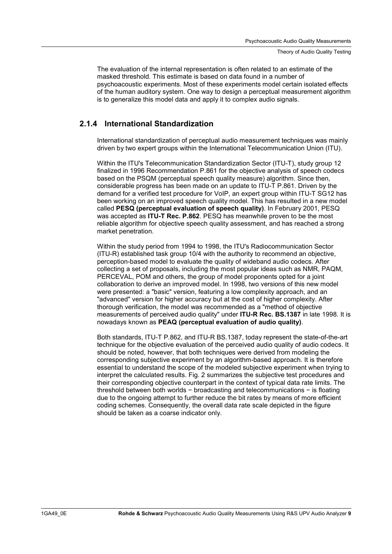The evaluation of the internal representation is often related to an estimate of the masked threshold. This estimate is based on data found in a number of psychoacoustic experiments. Most of these experiments model certain isolated effects of the human auditory system. One way to design a perceptual measurement algorithm is to generalize this model data and apply it to complex audio signals.

### **2.1.4 International Standardization**

International standardization of perceptual audio measurement techniques was mainly driven by two expert groups within the International Telecommunication Union (ITU).

Within the ITU's Telecommunication Standardization Sector (ITU-T), study group 12 finalized in 1996 Recommendation P.861 for the objective analysis of speech codecs based on the PSQM (perceptual speech quality measure) algorithm. Since then, considerable progress has been made on an update to ITU-T P.861. Driven by the demand for a verified test procedure for VoIP, an expert group within ITU-T SG12 has been working on an improved speech quality model. This has resulted in a new model called **PESQ (perceptual evaluation of speech quality)**. In February 2001, PESQ was accepted as **ITU-T Rec. P.862**. PESQ has meanwhile proven to be the most reliable algorithm for objective speech quality assessment, and has reached a strong market penetration.

Within the study period from 1994 to 1998, the ITU's Radiocommunication Sector (ITU-R) established task group 10/4 with the authority to recommend an objective, perception-based model to evaluate the quality of wideband audio codecs. After collecting a set of proposals, including the most popular ideas such as NMR, PAQM, PERCEVAL, POM and others, the group of model proponents opted for a joint collaboration to derive an improved model. In 1998, two versions of this new model were presented: a "basic" version, featuring a low complexity approach, and an "advanced" version for higher accuracy but at the cost of higher complexity. After thorough verification, the model was recommended as a "method of objective measurements of perceived audio quality" under **ITU-R Rec. BS.1387** in late 1998. It is nowadays known as **PEAQ (perceptual evaluation of audio quality)**.

Both standards, ITU-T P.862, and ITU-R BS.1387, today represent the state-of-the-art technique for the objective evaluation of the perceived audio quality of audio codecs. It should be noted, however, that both techniques were derived from modeling the corresponding subjective experiment by an algorithm-based approach. It is therefore essential to understand the scope of the modeled subjective experiment when trying to interpret the calculated results. Fig. 2 summarizes the subjective test procedures and their corresponding objective counterpart in the context of typical data rate limits. The threshold between both worlds  $-$  broadcasting and telecommunications  $-$  is floating due to the ongoing attempt to further reduce the bit rates by means of more efficient coding schemes. Consequently, the overall data rate scale depicted in the figure should be taken as a coarse indicator only.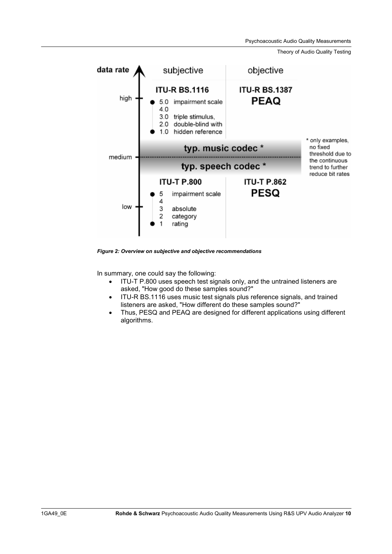Psychoacoustic Audio Quality Measurements

Theory of Audio Quality Testing



*Figure 2: Overview on subjective and objective recommendations* 

In summary, one could say the following:

- ITU-T P.800 uses speech test signals only, and the untrained listeners are asked, "How good do these samples sound?"
- ITU-R BS.1116 uses music test signals plus reference signals, and trained listeners are asked, "How different do these samples sound?"
- Thus, PESQ and PEAQ are designed for different applications using different algorithms.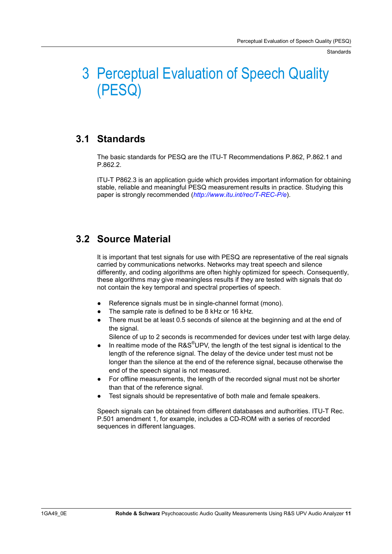**Standards** 

# 3 Perceptual Evaluation of Speech Quality (PESQ)

### **3.1 Standards**

The basic standards for PESQ are the ITU-T Recommendations P.862, P.862.1 and P.862.2.

ITU-T P862.3 is an application guide which provides important information for obtaining stable, reliable and meaningful PESQ measurement results in practice. Studying this paper is strongly recommended (*http://www.itu.int/rec/T-REC-P/e*).

### **3.2 Source Material**

It is important that test signals for use with PESQ are representative of the real signals carried by communications networks. Networks may treat speech and silence differently, and coding algorithms are often highly optimized for speech. Consequently, these algorithms may give meaningless results if they are tested with signals that do not contain the key temporal and spectral properties of speech.

- Reference signals must be in single-channel format (mono).
- The sample rate is defined to be 8 kHz or 16 kHz.
- There must be at least 0.5 seconds of silence at the beginning and at the end of the signal.

Silence of up to 2 seconds is recommended for devices under test with large delay.

- $\bullet$  In realtime mode of the R&S<sup>®</sup>UPV, the length of the test signal is identical to the length of the reference signal. The delay of the device under test must not be longer than the silence at the end of the reference signal, because otherwise the end of the speech signal is not measured.
- For offline measurements, the length of the recorded signal must not be shorter than that of the reference signal.
- Test signals should be representative of both male and female speakers.

Speech signals can be obtained from different databases and authorities. ITU-T Rec. P.501 amendment 1, for example, includes a CD-ROM with a series of recorded sequences in different languages.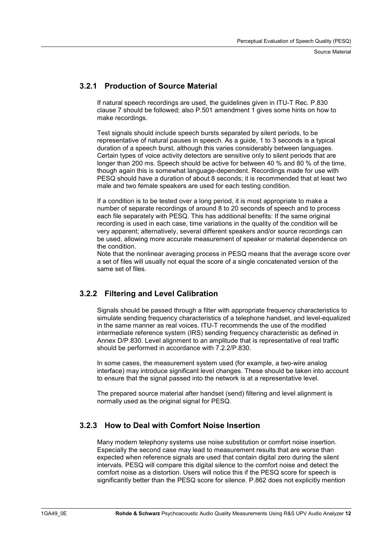Source Material

### **3.2.1 Production of Source Material**

If natural speech recordings are used, the guidelines given in ITU-T Rec. P.830 clause 7 should be followed; also P.501 amendment 1 gives some hints on how to make recordings.

Test signals should include speech bursts separated by silent periods, to be representative of natural pauses in speech. As a guide, 1 to 3 seconds is a typical duration of a speech burst, although this varies considerably between languages. Certain types of voice activity detectors are sensitive only to silent periods that are longer than 200 ms. Speech should be active for between 40 % and 80 % of the time, though again this is somewhat language-dependent. Recordings made for use with PESQ should have a duration of about 8 seconds; it is recommended that at least two male and two female speakers are used for each testing condition.

If a condition is to be tested over a long period, it is most appropriate to make a number of separate recordings of around 8 to 20 seconds of speech and to process each file separately with PESQ. This has additional benefits: If the same original recording is used in each case, time variations in the quality of the condition will be very apparent; alternatively, several different speakers and/or source recordings can be used, allowing more accurate measurement of speaker or material dependence on the condition.

Note that the nonlinear averaging process in PESQ means that the average score over a set of files will usually not equal the score of a single concatenated version of the same set of files.

### **3.2.2 Filtering and Level Calibration**

Signals should be passed through a filter with appropriate frequency characteristics to simulate sending frequency characteristics of a telephone handset, and level-equalized in the same manner as real voices. ITU-T recommends the use of the modified intermediate reference system (IRS) sending frequency characteristic as defined in Annex D/P.830. Level alignment to an amplitude that is representative of real traffic should be performed in accordance with 7.2.2/P.830.

In some cases, the measurement system used (for example, a two-wire analog interface) may introduce significant level changes. These should be taken into account to ensure that the signal passed into the network is at a representative level.

The prepared source material after handset (send) filtering and level alignment is normally used as the original signal for PESQ.

### **3.2.3 How to Deal with Comfort Noise Insertion**

Many modern telephony systems use noise substitution or comfort noise insertion. Especially the second case may lead to measurement results that are worse than expected when reference signals are used that contain digital zero during the silent intervals. PESQ will compare this digital silence to the comfort noise and detect the comfort noise as a distortion. Users will notice this if the PESQ score for speech is significantly better than the PESQ score for silence. P.862 does not explicitly mention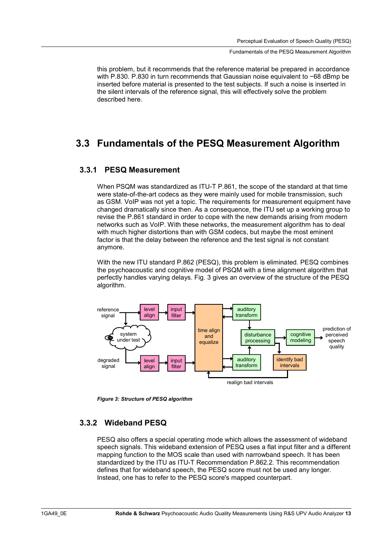#### Fundamentals of the PESQ Measurement Algorithm

this problem, but it recommends that the reference material be prepared in accordance with P.830. P.830 in turn recommends that Gaussian noise equivalent to  $-68$  dBmp be inserted before material is presented to the test subjects. If such a noise is inserted in the silent intervals of the reference signal, this will effectively solve the problem described here.

### **3.3 Fundamentals of the PESQ Measurement Algorithm**

### **3.3.1 PESQ Measurement**

When PSQM was standardized as ITU-T P.861, the scope of the standard at that time were state-of-the-art codecs as they were mainly used for mobile transmission, such as GSM. VoIP was not yet a topic. The requirements for measurement equipment have changed dramatically since then. As a consequence, the ITU set up a working group to revise the P.861 standard in order to cope with the new demands arising from modern networks such as VoIP. With these networks, the measurement algorithm has to deal with much higher distortions than with GSM codecs, but maybe the most eminent factor is that the delay between the reference and the test signal is not constant anymore.

With the new ITU standard P.862 (PESQ), this problem is eliminated. PESQ combines the psychoacoustic and cognitive model of PSQM with a time alignment algorithm that perfectly handles varying delays. Fig. 3 gives an overview of the structure of the PESQ algorithm.



*Figure 3: Structure of PESQ algorithm* 

### **3.3.2 Wideband PESQ**

PESQ also offers a special operating mode which allows the assessment of wideband speech signals. This wideband extension of PESQ uses a flat input filter and a different mapping function to the MOS scale than used with narrowband speech. It has been standardized by the ITU as ITU-T Recommendation P.862.2. This recommendation defines that for wideband speech, the PESQ score must not be used any longer. Instead, one has to refer to the PESQ score's mapped counterpart.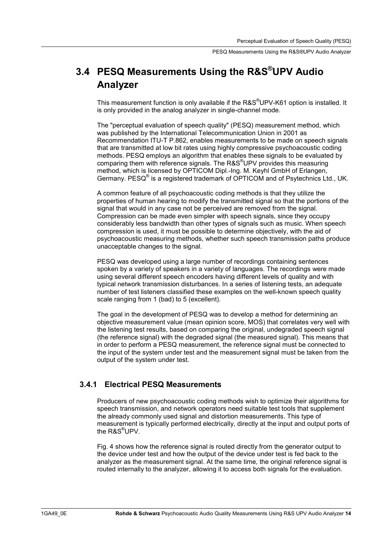### **3.4 PESQ Measurements Using the R&S®UPV Audio Analyzer**

This measurement function is only available if the R&S<sup>®</sup>UPV-K61 option is installed. It is only provided in the analog analyzer in single-channel mode.

The "perceptual evaluation of speech quality" (PESQ) measurement method, which was published by the International Telecommunication Union in 2001 as Recommendation ITU-T P.862, enables measurements to be made on speech signals that are transmitted at low bit rates using highly compressive psychoacoustic coding methods. PESQ employs an algorithm that enables these signals to be evaluated by comparing them with reference signals. The R&S<sup>®</sup>UPV provides this measuring method, which is licensed by OPTICOM Dipl.-Ing. M. Keyhl GmbH of Erlangen, Germany. PESQ® is a registered trademark of OPTICOM and of Psytechnics Ltd., UK.

A common feature of all psychoacoustic coding methods is that they utilize the properties of human hearing to modify the transmitted signal so that the portions of the signal that would in any case not be perceived are removed from the signal. Compression can be made even simpler with speech signals, since they occupy considerably less bandwidth than other types of signals such as music. When speech compression is used, it must be possible to determine objectively, with the aid of psychoacoustic measuring methods, whether such speech transmission paths produce unacceptable changes to the signal.

PESQ was developed using a large number of recordings containing sentences spoken by a variety of speakers in a variety of languages. The recordings were made using several different speech encoders having different levels of quality and with typical network transmission disturbances. In a series of listening tests, an adequate number of test listeners classified these examples on the well-known speech quality scale ranging from 1 (bad) to 5 (excellent).

The goal in the development of PESQ was to develop a method for determining an objective measurement value (mean opinion score, MOS) that correlates very well with the listening test results, based on comparing the original, undegraded speech signal (the reference signal) with the degraded signal (the measured signal). This means that in order to perform a PESQ measurement, the reference signal must be connected to the input of the system under test and the measurement signal must be taken from the output of the system under test.

### **3.4.1 Electrical PESQ Measurements**

Producers of new psychoacoustic coding methods wish to optimize their algorithms for speech transmission, and network operators need suitable test tools that supplement the already commonly used signal and distortion measurements. This type of measurement is typically performed electrically, directly at the input and output ports of the R&S® UPV.

Fig. 4 shows how the reference signal is routed directly from the generator output to the device under test and how the output of the device under test is fed back to the analyzer as the measurement signal. At the same time, the original reference signal is routed internally to the analyzer, allowing it to access both signals for the evaluation.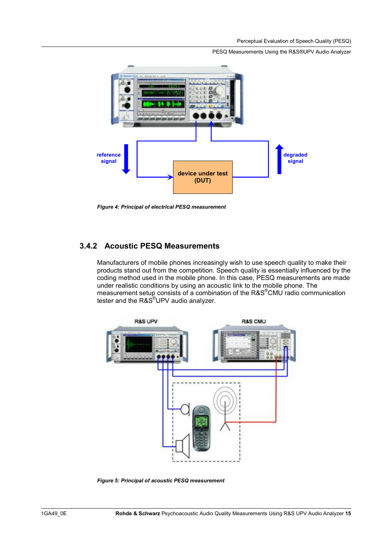#### PESQ Measurements Using the R&S®UPV Audio Analyzer



*Figure 4: Principal of electrical PESQ measurement* 

### **3.4.2 Acoustic PESQ Measurements**

Manufacturers of mobile phones increasingly wish to use speech quality to make their products stand out from the competition. Speech quality is essentially influenced by the coding method used in the mobile phone. In this case, PESQ measurements are made under realistic conditions by using an acoustic link to the mobile phone. The measurement setup consists of a combination of the R&S<sup>®</sup>CMU radio communication tester and the R&S®UPV audio analyzer.



*Figure 5: Principal of acoustic PESQ measurement*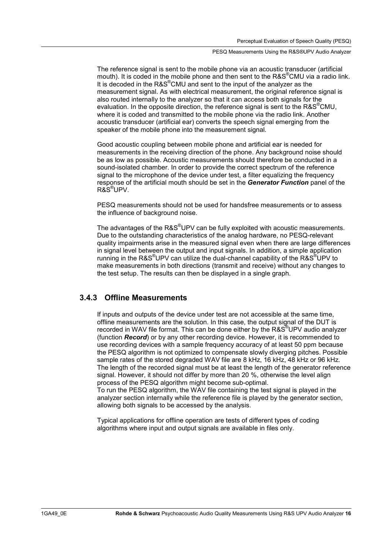#### PESQ Measurements Using the R&S®UPV Audio Analyzer

The reference signal is sent to the mobile phone via an acoustic transducer (artificial mouth). It is coded in the mobile phone and then sent to the R&S<sup>®</sup>CMU via a radio link. It is decoded in the R&S<sup>®</sup>CMU and sent to the input of the analyzer as the measurement signal. As with electrical measurement, the original reference signal is also routed internally to the analyzer so that it can access both signals for the evaluation. In the opposite direction, the reference signal is sent to the R&S<sup>®</sup>CMU, where it is coded and transmitted to the mobile phone via the radio link. Another acoustic transducer (artificial ear) converts the speech signal emerging from the speaker of the mobile phone into the measurement signal.

Good acoustic coupling between mobile phone and artificial ear is needed for measurements in the receiving direction of the phone. Any background noise should be as low as possible. Acoustic measurements should therefore be conducted in a sound-isolated chamber. In order to provide the correct spectrum of the reference signal to the microphone of the device under test, a filter equalizing the frequency response of the artificial mouth should be set in the *Generator Function* panel of the R&S® UPV.

PESQ measurements should not be used for handsfree measurements or to assess the influence of background noise.

The advantages of the R&S $^{\circ}$ UPV can be fully exploited with acoustic measurements. Due to the outstanding characteristics of the analog hardware, no PESQ-relevant quality impairments arise in the measured signal even when there are large differences in signal level between the output and input signals. In addition, a simple application running in the R&S<sup>®</sup>UPV can utilize the dual-channel capability of the R&S<sup>®</sup>UPV to make measurements in both directions (transmit and receive) without any changes to the test setup. The results can then be displayed in a single graph.

### **3.4.3 Offline Measurements**

If inputs and outputs of the device under test are not accessible at the same time, offline measurements are the solution. In this case, the output signal of the DUT is recorded in WAV file format. This can be done either by the R&S UPV audio analyzer (function *Record*) or by any other recording device. However, it is recommended to use recording devices with a sample frequency accuracy of at least 50 ppm because the PESQ algorithm is not optimized to compensate slowly diverging pitches. Possible sample rates of the stored degraded WAV file are 8 kHz, 16 kHz, 48 kHz or 96 kHz. The length of the recorded signal must be at least the length of the generator reference signal. However, it should not differ by more than 20 %, otherwise the level align process of the PESQ algorithm might become sub-optimal.

To run the PESQ algorithm, the WAV file containing the test signal is played in the analyzer section internally while the reference file is played by the generator section, allowing both signals to be accessed by the analysis.

Typical applications for offline operation are tests of different types of coding algorithms where input and output signals are available in files only.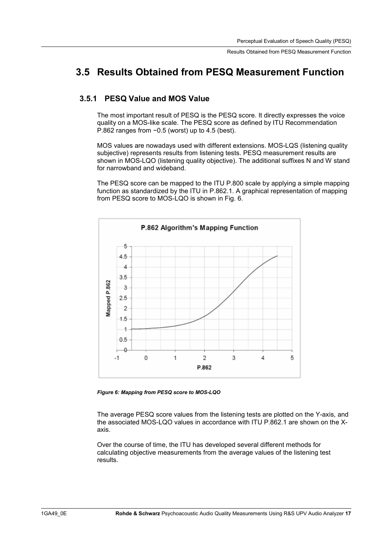### **3.5 Results Obtained from PESQ Measurement Function**

### **3.5.1 PESQ Value and MOS Value**

The most important result of PESQ is the PESQ score. It directly expresses the voice quality on a MOS-like scale. The PESQ score as defined by ITU Recommendation P.862 ranges from  $-0.5$  (worst) up to 4.5 (best).

MOS values are nowadays used with different extensions. MOS-LQS (listening quality subjective) represents results from listening tests. PESQ measurement results are shown in MOS-LQO (listening quality objective). The additional suffixes N and W stand for narrowband and wideband.

The PESQ score can be mapped to the ITU P.800 scale by applying a simple mapping function as standardized by the ITU in P.862.1. A graphical representation of mapping from PESQ score to MOS-LQO is shown in Fig. 6.



*Figure 6: Mapping from PESQ score to MOS-LQO* 

The average PESQ score values from the listening tests are plotted on the Y-axis, and the associated MOS-LQO values in accordance with ITU P.862.1 are shown on the Xaxis.

Over the course of time, the ITU has developed several different methods for calculating objective measurements from the average values of the listening test results.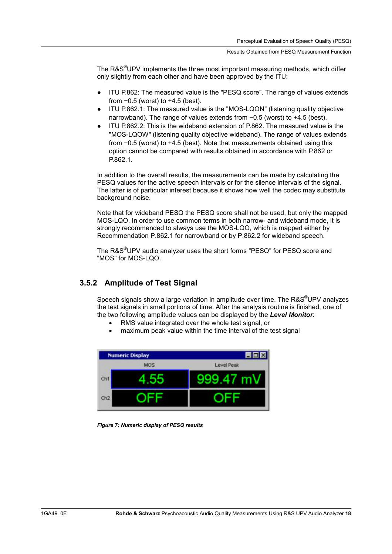The R&S<sup>®</sup>UPV implements the three most important measuring methods, which differ only slightly from each other and have been approved by the ITU:

- ITU P.862: The measured value is the "PESQ score". The range of values extends from  $-0.5$  (worst) to  $+4.5$  (best).
- ITU P.862.1: The measured value is the "MOS-LQON" (listening quality objective narrowband). The range of values extends from  $-0.5$  (worst) to  $+4.5$  (best).
- ITU P.862.2: This is the wideband extension of P.862. The measured value is the "MOS-LQOW" (listening quality objective wideband). The range of values extends from  $-0.5$  (worst) to  $+4.5$  (best). Note that measurements obtained using this option cannot be compared with results obtained in accordance with P.862 or P.862.1.

In addition to the overall results, the measurements can be made by calculating the PESQ values for the active speech intervals or for the silence intervals of the signal. The latter is of particular interest because it shows how well the codec may substitute background noise.

Note that for wideband PESQ the PESQ score shall not be used, but only the mapped MOS-LQO. In order to use common terms in both narrow- and wideband mode, it is strongly recommended to always use the MOS-LQO, which is mapped either by Recommendation P.862.1 for narrowband or by P.862.2 for wideband speech.

The R&S<sup>®</sup>UPV audio analyzer uses the short forms "PESQ" for PESQ score and "MOS" for MOS-LQO.

### **3.5.2 Amplitude of Test Signal**

Speech signals show a large variation in amplitude over time. The R&S $^{\circ}$ UPV analyzes the test signals in small portions of time. After the analysis routine is finished, one of the two following amplitude values can be displayed by the *Level Monitor*:

- RMS value integrated over the whole test signal, or
- maximum peak value within the time interval of the test signal



*Figure 7: Numeric display of PESQ results*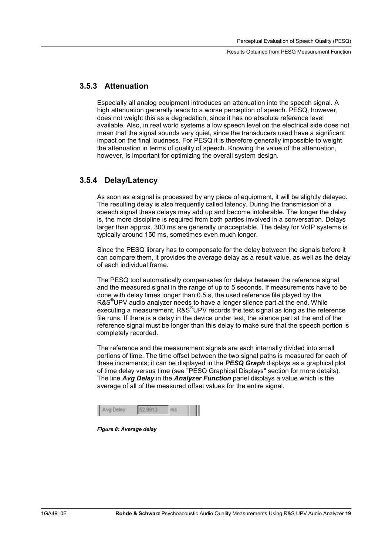### **3.5.3 Attenuation**

Especially all analog equipment introduces an attenuation into the speech signal. A high attenuation generally leads to a worse perception of speech. PESQ, however, does not weight this as a degradation, since it has no absolute reference level available. Also, in real world systems a low speech level on the electrical side does not mean that the signal sounds very quiet, since the transducers used have a significant impact on the final loudness. For PESQ it is therefore generally impossible to weight the attenuation in terms of quality of speech. Knowing the value of the attenuation, however, is important for optimizing the overall system design.

#### **3.5.4 Delay/Latency**

As soon as a signal is processed by any piece of equipment, it will be slightly delayed. The resulting delay is also frequently called latency. During the transmission of a speech signal these delays may add up and become intolerable. The longer the delay is, the more discipline is required from both parties involved in a conversation. Delays larger than approx. 300 ms are generally unacceptable. The delay for VoIP systems is typically around 150 ms, sometimes even much longer.

Since the PESQ library has to compensate for the delay between the signals before it can compare them, it provides the average delay as a result value, as well as the delay of each individual frame.

The PESQ tool automatically compensates for delays between the reference signal and the measured signal in the range of up to 5 seconds. If measurements have to be done with delay times longer than 0.5 s, the used reference file played by the R&S<sup>®</sup>UPV audio analyzer needs to have a longer silence part at the end. While executing a measurement, R&S<sup>®</sup>UPV records the test signal as long as the reference file runs. If there is a delay in the device under test, the silence part at the end of the reference signal must be longer than this delay to make sure that the speech portion is completely recorded.

The reference and the measurement signals are each internally divided into small portions of time. The time offset between the two signal paths is measured for each of these increments; it can be displayed in the *PESQ Graph* displays as a graphical plot of time delay versus time (see "PESQ Graphical Displays" section for more details). The line *Avg Delay* in the *Analyzer Function* panel displays a value which is the average of all of the measured offset values for the entire signal.

*Figure 8: Average delay*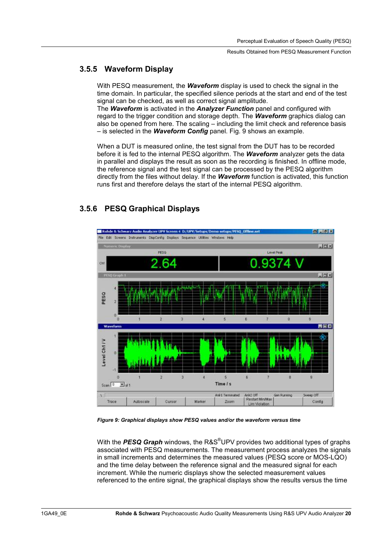### **3.5.5 Waveform Display**

With PESQ measurement, the *Waveform* display is used to check the signal in the time domain. In particular, the specified silence periods at the start and end of the test signal can be checked, as well as correct signal amplitude.

The *Waveform* is activated in the *Analyzer Function* panel and configured with regard to the trigger condition and storage depth. The *Waveform* graphics dialog can also be opened from here. The scaling – including the limit check and reference basis – is selected in the *Waveform Config* panel. Fig. 9 shows an example.

When a DUT is measured online, the test signal from the DUT has to be recorded before it is fed to the internal PESQ algorithm. The *Waveform* analyzer gets the data in parallel and displays the result as soon as the recording is finished. In offline mode, the reference signal and the test signal can be processed by the PESQ algorithm directly from the files without delay. If the *Waveform* function is activated, this function runs first and therefore delays the start of the internal PESQ algorithm.

### **3.5.6 PESQ Graphical Displays**



*Figure 9: Graphical displays show PESQ values and/or the waveform versus time* 

With the *PESQ Graph* windows, the R&S® UPV provides two additional types of graphs associated with PESQ measurements. The measurement process analyzes the signals in small increments and determines the measured values (PESQ score or MOS-LQO) and the time delay between the reference signal and the measured signal for each increment. While the numeric displays show the selected measurement values referenced to the entire signal, the graphical displays show the results versus the time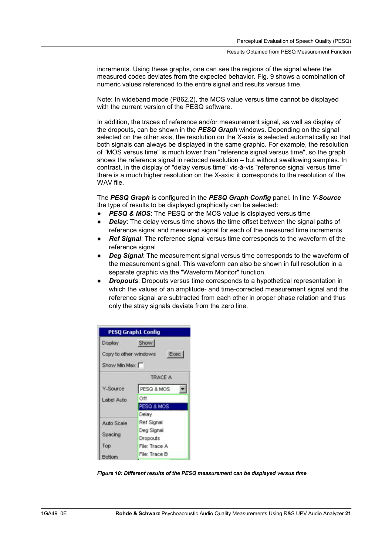increments. Using these graphs, one can see the regions of the signal where the measured codec deviates from the expected behavior. Fig. 9 shows a combination of numeric values referenced to the entire signal and results versus time.

Note: In wideband mode (P862.2), the MOS value versus time cannot be displayed with the current version of the PESQ software.

In addition, the traces of reference and/or measurement signal, as well as display of the dropouts, can be shown in the *PESQ Graph* windows. Depending on the signal selected on the other axis, the resolution on the X-axis is selected automatically so that both signals can always be displayed in the same graphic. For example, the resolution of "MOS versus time" is much lower than "reference signal versus time", so the graph shows the reference signal in reduced resolution – but without swallowing samples. In contrast, in the display of "delay versus time" vis-à-vis "reference signal versus time" there is a much higher resolution on the X-axis; it corresponds to the resolution of the WAV file.

The *PESQ Graph* is configured in the *PESQ Graph Config* panel. In line *Y-Source* the type of results to be displayed graphically can be selected:

- **PESQ & MOS:** The PESQ or the MOS value is displayed versus time
- **Delay:** The delay versus time shows the time offset between the signal paths of reference signal and measured signal for each of the measured time increments
- Ref Signal: The reference signal versus time corresponds to the waveform of the reference signal
- **Deg Signal:** The measurement signal versus time corresponds to the waveform of the measurement signal. This waveform can also be shown in full resolution in a separate graphic via the "Waveform Monitor" function.
- *Dropouts*: Dropouts versus time corresponds to a hypothetical representation in which the values of an amplitude- and time-corrected measurement signal and the reference signal are subtracted from each other in proper phase relation and thus only the stray signals deviate from the zero line.



*Figure 10: Different results of the PESQ measurement can be displayed versus time*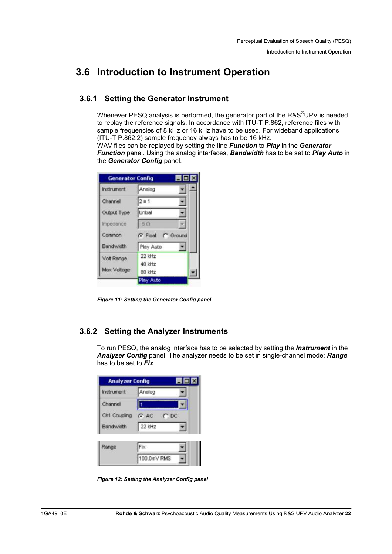### **3.6 Introduction to Instrument Operation**

### **3.6.1 Setting the Generator Instrument**

Whenever PESQ analysis is performed, the generator part of the R&S $^{\circ}$ UPV is needed to replay the reference signals. In accordance with ITU-T P.862, reference files with sample frequencies of 8 kHz or 16 kHz have to be used. For wideband applications (ITU-T P.862.2) sample frequency always has to be 16 kHz.

WAV files can be replayed by setting the line *Function* to *Play* in the *Generator Function* panel. Using the analog interfaces, *Bandwidth* has to be set to *Play Auto* in the *Generator Config* panel.

|                  | $\blacksquare$ $\blacksquare$ $\times$ |
|------------------|----------------------------------------|
| Analog           |                                        |
| $2 \equiv 1$     |                                        |
| Unbal            |                                        |
| 50               |                                        |
|                  |                                        |
| G Float C Ground |                                        |
| Play Auto        |                                        |
| 22 kHz           |                                        |
| 40 kHz           |                                        |
|                  | <b>Generator Config</b>                |

*Figure 11: Setting the Generator Config panel* 

### **3.6.2 Setting the Analyzer Instruments**

To run PESQ, the analog interface has to be selected by setting the *Instrument* in the *Analyzer Config* panel. The analyzer needs to be set in single-channel mode; *Range* has to be set to *Fix*.

| <b>Analyzer Config</b> |                       | $\blacksquare$ $\blacksquare$ $\times$ |
|------------------------|-----------------------|----------------------------------------|
| Instrument             | Analog                |                                        |
| Channel                |                       |                                        |
| Ch1 Coupling           | $G$ AC<br>$\Gamma$ DC |                                        |
| <b>Bandwidth</b>       | 22 kHz                |                                        |
| Range                  | Fix.                  |                                        |
|                        | 100.0mV RMS           |                                        |

*Figure 12: Setting the Analyzer Config panel*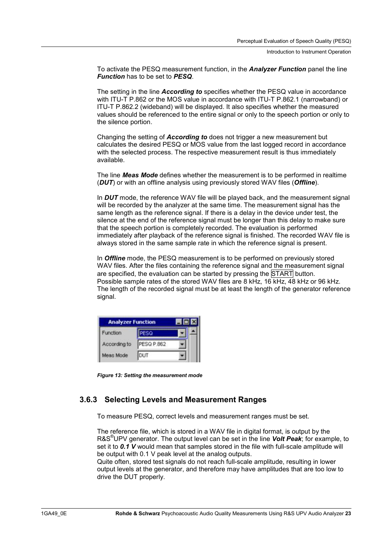Introduction to Instrument Operation

To activate the PESQ measurement function, in the *Analyzer Function* panel the line *Function* has to be set to *PESQ*.

The setting in the line *According to* specifies whether the PESQ value in accordance with ITU-T P.862 or the MOS value in accordance with ITU-T P.862.1 (narrowband) or ITU-T P.862.2 (wideband) will be displayed. It also specifies whether the measured values should be referenced to the entire signal or only to the speech portion or only to the silence portion.

Changing the setting of *According to* does not trigger a new measurement but calculates the desired PESQ or MOS value from the last logged record in accordance with the selected process. The respective measurement result is thus immediately available.

The line *Meas Mode* defines whether the measurement is to be performed in realtime (*DUT*) or with an offline analysis using previously stored WAV files (*Offline*).

In *DUT* mode, the reference WAV file will be played back, and the measurement signal will be recorded by the analyzer at the same time. The measurement signal has the same length as the reference signal. If there is a delay in the device under test, the silence at the end of the reference signal must be longer than this delay to make sure that the speech portion is completely recorded. The evaluation is performed immediately after playback of the reference signal is finished. The recorded WAV file is always stored in the same sample rate in which the reference signal is present.

In *Offline* mode, the PESQ measurement is to be performed on previously stored WAV files. After the files containing the reference signal and the measurement signal are specified, the evaluation can be started by pressing the START button. Possible sample rates of the stored WAV files are 8 kHz, 16 kHz, 48 kHz or 96 kHz. The length of the recorded signal must be at least the length of the generator reference signal.

| <b>Analyzer Function</b> |                   |  |
|--------------------------|-------------------|--|
| Function                 |                   |  |
| According to             | <b>PESQ P.862</b> |  |
| Meas Mode                | <b>NIT</b>        |  |

*Figure 13: Setting the measurement mode* 

### **3.6.3 Selecting Levels and Measurement Ranges**

To measure PESQ, correct levels and measurement ranges must be set.

The reference file, which is stored in a WAV file in digital format, is output by the R&S® UPV generator. The output level can be set in the line *Volt Peak*; for example, to set it to *0.1 V* would mean that samples stored in the file with full-scale amplitude will be output with 0.1 V peak level at the analog outputs.

Quite often, stored test signals do not reach full-scale amplitude, resulting in lower output levels at the generator, and therefore may have amplitudes that are too low to drive the DUT properly.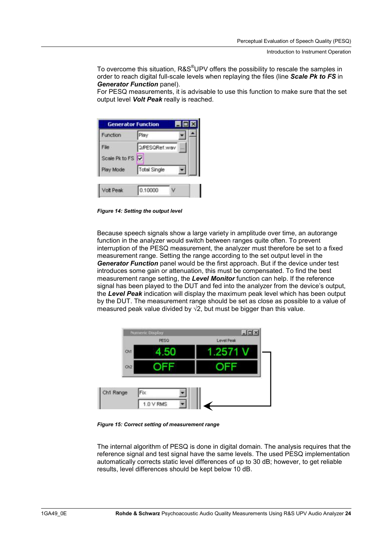To overcome this situation, R&S $^{\circledast}$ UPV offers the possibility to rescale the samples in order to reach digital full-scale levels when replaying the files (line *Scale Pk to FS* in *Generator Function* panel).

For PESQ measurements, it is advisable to use this function to make sure that the set output level *Volt Peak* really is reached.

| Play                 |      |
|----------------------|------|
| <b>G/PESGRef.wav</b> | sin. |
| Scale Pk to FS       |      |
| <b>Total Single</b>  |      |
|                      |      |

*Figure 14: Setting the output level* 

Because speech signals show a large variety in amplitude over time, an autorange function in the analyzer would switch between ranges quite often. To prevent interruption of the PESQ measurement, the analyzer must therefore be set to a fixed measurement range. Setting the range according to the set output level in the *Generator Function* panel would be the first approach. But if the device under test introduces some gain or attenuation, this must be compensated. To find the best measurement range setting, the *Level Monitor* function can help. If the reference signal has been played to the DUT and fed into the analyzer from the device's output, the *Level Peak* indication will display the maximum peak level which has been output by the DUT. The measurement range should be set as close as possible to a value of measured peak value divided by  $\sqrt{2}$ , but must be bigger than this value.



*Figure 15: Correct setting of measurement range* 

The internal algorithm of PESQ is done in digital domain. The analysis requires that the reference signal and test signal have the same levels. The used PESQ implementation automatically corrects static level differences of up to 30 dB; however, to get reliable results, level differences should be kept below 10 dB.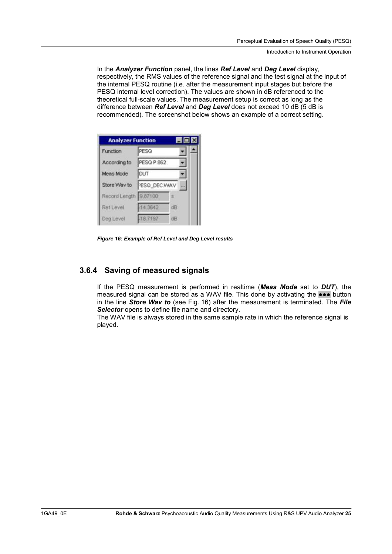Introduction to Instrument Operation

In the *Analyzer Function* panel, the lines *Ref Level* and *Deg Level* display, respectively, the RMS values of the reference signal and the test signal at the input of the internal PESQ routine (i.e. after the measurement input stages but before the PESQ internal level correction). The values are shown in dB referenced to the theoretical full-scale values. The measurement setup is correct as long as the difference between *Ref Level* and *Deg Level* does not exceed 10 dB (5 dB is recommended). The screenshot below shows an example of a correct setting.

| <b>Analyzer Function</b> |              |    | $ \Box$ $\times$ |  |
|--------------------------|--------------|----|------------------|--|
| Function                 | PESQ         |    |                  |  |
| According to             | PESQ P.862   |    |                  |  |
| Meas Mode                | DUT          |    |                  |  |
| Store Way to             | PESQ_DEC.WAV |    | i si s           |  |
| Record Length 9.87100    |              |    |                  |  |
| Ref Level                | $-14.3642$   | dB |                  |  |
| Deg Level                | -18.7197     | dB |                  |  |

*Figure 16: Example of Ref Level and Deg Level results* 

### **3.6.4 Saving of measured signals**

If the PESQ measurement is performed in realtime (*Meas Mode* set to *DUT*), the measured signal can be stored as a WAV file. This done by activating the  $\bullet\bullet\bullet$  button in the line *Store Wav to* (see Fig. 16) after the measurement is terminated. The *File Selector* opens to define file name and directory.

The WAV file is always stored in the same sample rate in which the reference signal is played.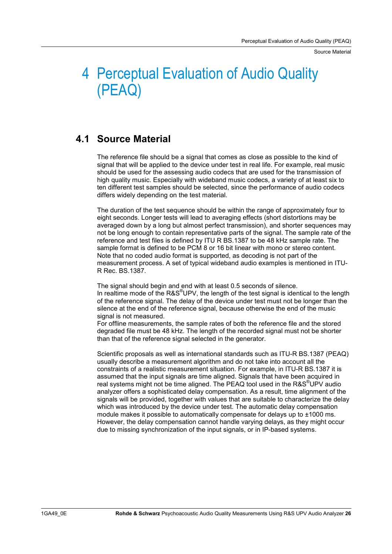Source Material

# 4 Perceptual Evaluation of Audio Quality (PEAQ)

### **4.1 Source Material**

The reference file should be a signal that comes as close as possible to the kind of signal that will be applied to the device under test in real life. For example, real music should be used for the assessing audio codecs that are used for the transmission of high quality music. Especially with wideband music codecs, a variety of at least six to ten different test samples should be selected, since the performance of audio codecs differs widely depending on the test material.

The duration of the test sequence should be within the range of approximately four to eight seconds. Longer tests will lead to averaging effects (short distortions may be averaged down by a long but almost perfect transmission), and shorter sequences may not be long enough to contain representative parts of the signal. The sample rate of the reference and test files is defined by ITU R BS.1387 to be 48 kHz sample rate. The sample format is defined to be PCM 8 or 16 bit linear with mono or stereo content. Note that no coded audio format is supported, as decoding is not part of the measurement process. A set of typical wideband audio examples is mentioned in ITU-R Rec. BS.1387.

The signal should begin and end with at least 0.5 seconds of silence. In realtime mode of the R&S®UPV, the length of the test signal is identical to the length of the reference signal. The delay of the device under test must not be longer than the silence at the end of the reference signal, because otherwise the end of the music signal is not measured.

For offline measurements, the sample rates of both the reference file and the stored degraded file must be 48 kHz. The length of the recorded signal must not be shorter than that of the reference signal selected in the generator.

Scientific proposals as well as international standards such as ITU-R BS.1387 (PEAQ) usually describe a measurement algorithm and do not take into account all the constraints of a realistic measurement situation. For example, in ITU-R BS.1387 it is assumed that the input signals are time aligned. Signals that have been acquired in real systems might not be time aligned. The PEAQ tool used in the R&S<sup>®</sup>UPV audio analyzer offers a sophisticated delay compensation. As a result, time alignment of the signals will be provided, together with values that are suitable to characterize the delay which was introduced by the device under test. The automatic delay compensation module makes it possible to automatically compensate for delays up to  $\pm 1000$  ms. However, the delay compensation cannot handle varying delays, as they might occur due to missing synchronization of the input signals, or in IP-based systems.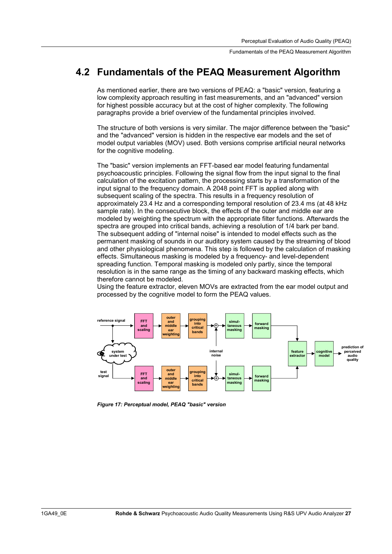Fundamentals of the PEAQ Measurement Algorithm

### **4.2 Fundamentals of the PEAQ Measurement Algorithm**

As mentioned earlier, there are two versions of PEAQ: a "basic" version, featuring a low complexity approach resulting in fast measurements, and an "advanced" version for highest possible accuracy but at the cost of higher complexity. The following paragraphs provide a brief overview of the fundamental principles involved.

The structure of both versions is very similar. The major difference between the "basic" and the "advanced" version is hidden in the respective ear models and the set of model output variables (MOV) used. Both versions comprise artificial neural networks for the cognitive modeling.

The "basic" version implements an FFT-based ear model featuring fundamental psychoacoustic principles. Following the signal flow from the input signal to the final calculation of the excitation pattern, the processing starts by a transformation of the input signal to the frequency domain. A 2048 point FFT is applied along with subsequent scaling of the spectra. This results in a frequency resolution of approximately 23.4 Hz and a corresponding temporal resolution of 23.4 ms (at 48 kHz sample rate). In the consecutive block, the effects of the outer and middle ear are modeled by weighting the spectrum with the appropriate filter functions. Afterwards the spectra are grouped into critical bands, achieving a resolution of 1/4 bark per band. The subsequent adding of "internal noise" is intended to model effects such as the permanent masking of sounds in our auditory system caused by the streaming of blood and other physiological phenomena. This step is followed by the calculation of masking effects. Simultaneous masking is modeled by a frequency- and level-dependent spreading function. Temporal masking is modeled only partly, since the temporal resolution is in the same range as the timing of any backward masking effects, which therefore cannot be modeled.

Using the feature extractor, eleven MOVs are extracted from the ear model output and processed by the cognitive model to form the PEAQ values.



*Figure 17: Perceptual model, PEAQ "basic" version*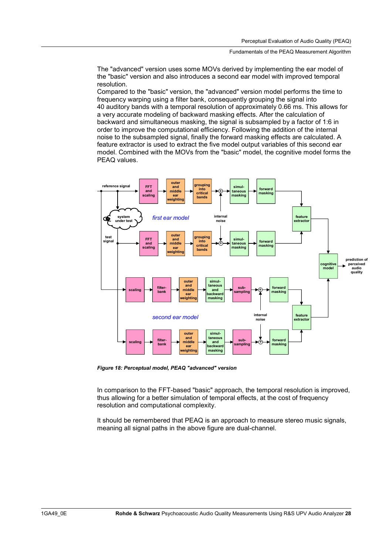#### Fundamentals of the PEAQ Measurement Algorithm

The "advanced" version uses some MOVs derived by implementing the ear model of the "basic" version and also introduces a second ear model with improved temporal resolution.

Compared to the "basic" version, the "advanced" version model performs the time to frequency warping using a filter bank, consequently grouping the signal into 40 auditory bands with a temporal resolution of approximately 0.66 ms. This allows for a very accurate modeling of backward masking effects. After the calculation of backward and simultaneous masking, the signal is subsampled by a factor of 1:6 in order to improve the computational efficiency. Following the addition of the internal noise to the subsampled signal, finally the forward masking effects are calculated. A feature extractor is used to extract the five model output variables of this second ear model. Combined with the MOVs from the "basic" model, the cognitive model forms the PEAQ values.



*Figure 18: Perceptual model, PEAQ "advanced" version* 

In comparison to the FFT-based "basic" approach, the temporal resolution is improved, thus allowing for a better simulation of temporal effects, at the cost of frequency resolution and computational complexity.

It should be remembered that PEAQ is an approach to measure stereo music signals, meaning all signal paths in the above figure are dual-channel.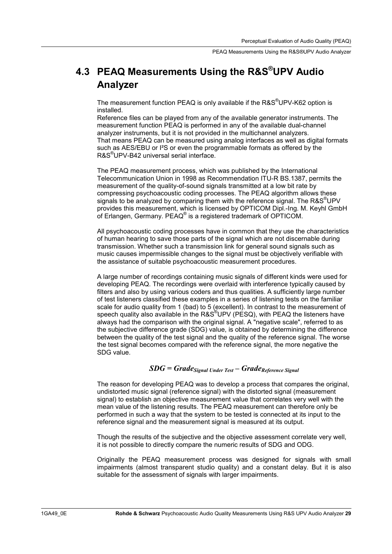### **4.3 PEAQ Measurements Using the R&S®UPV Audio Analyzer**

The measurement function PEAQ is only available if the R&S<sup>®</sup>UPV-K62 option is installed.

Reference files can be played from any of the available generator instruments. The measurement function PEAQ is performed in any of the available dual-channel analyzer instruments, but it is not provided in the multichannel analyzers. That means PEAQ can be measured using analog interfaces as well as digital formats such as AES/EBU or I<sup>2</sup>S or even the programmable formats as offered by the R&S® UPV-B42 universal serial interface.

The PEAQ measurement process, which was published by the International Telecommunication Union in 1998 as Recommendation ITU-R BS.1387, permits the measurement of the quality-of-sound signals transmitted at a low bit rate by compressing psychoacoustic coding processes. The PEAQ algorithm allows these signals to be analyzed by comparing them with the reference signal. The R&S<sup>®</sup>UPV provides this measurement, which is licensed by OPTICOM Dipl.-Ing. M. Keyhl GmbH of Erlangen, Germany. PEAQ® is a registered trademark of OPTICOM.

All psychoacoustic coding processes have in common that they use the characteristics of human hearing to save those parts of the signal which are not discernable during transmission. Whether such a transmission link for general sound signals such as music causes impermissible changes to the signal must be objectively verifiable with the assistance of suitable psychoacoustic measurement procedures.

A large number of recordings containing music signals of different kinds were used for developing PEAQ. The recordings were overlaid with interference typically caused by filters and also by using various coders and thus qualities. A sufficiently large number of test listeners classified these examples in a series of listening tests on the familiar scale for audio quality from 1 (bad) to 5 (excellent). In contrast to the measurement of speech quality also available in the R&S®UPV (PESQ), with PEAQ the listeners have always had the comparison with the original signal. A "negative scale", referred to as the subjective difference grade (SDG) value, is obtained by determining the difference between the quality of the test signal and the quality of the reference signal. The worse the test signal becomes compared with the reference signal, the more negative the SDG value.

#### *SDG = GradeSignal Under Test – GradeReference Signal*

The reason for developing PEAQ was to develop a process that compares the original, undistorted music signal (reference signal) with the distorted signal (measurement signal) to establish an objective measurement value that correlates very well with the mean value of the listening results. The PEAQ measurement can therefore only be performed in such a way that the system to be tested is connected at its input to the reference signal and the measurement signal is measured at its output.

Though the results of the subjective and the objective assessment correlate very well, it is not possible to directly compare the numeric results of SDG and ODG.

Originally the PEAQ measurement process was designed for signals with small impairments (almost transparent studio quality) and a constant delay. But it is also suitable for the assessment of signals with larger impairments.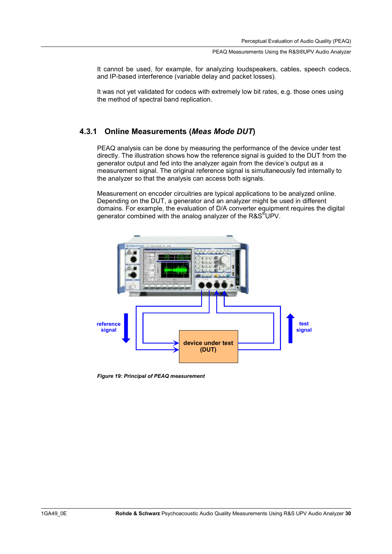It cannot be used, for example, for analyzing loudspeakers, cables, speech codecs, and IP-based interference (variable delay and packet losses).

It was not yet validated for codecs with extremely low bit rates, e.g. those ones using the method of spectral band replication.

### **4.3.1 Online Measurements (***Meas Mode DUT***)**

PEAQ analysis can be done by measuring the performance of the device under test directly. The illustration shows how the reference signal is guided to the DUT from the generator output and fed into the analyzer again from the device's output as a measurement signal. The original reference signal is simultaneously fed internally to the analyzer so that the analysis can access both signals.

Measurement on encoder circuitries are typical applications to be analyzed online. Depending on the DUT, a generator and an analyzer might be used in different domains. For example, the evaluation of D/A converter equipment requires the digital generator combined with the analog analyzer of the R&S $^\text{\textregistered}$ UPV.



*Figure 19: Principal of PEAQ measurement*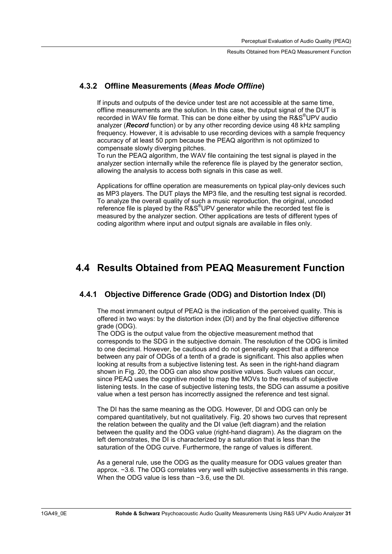### **4.3.2 Offline Measurements (***Meas Mode Offline***)**

If inputs and outputs of the device under test are not accessible at the same time, offline measurements are the solution. In this case, the output signal of the DUT is recorded in WAV file format. This can be done either by using the R&S<sup>®</sup>UPV audio analyzer (*Record* function) or by any other recording device using 48 kHz sampling frequency. However, it is advisable to use recording devices with a sample frequency accuracy of at least 50 ppm because the PEAQ algorithm is not optimized to compensate slowly diverging pitches.

To run the PEAQ algorithm, the WAV file containing the test signal is played in the analyzer section internally while the reference file is played by the generator section, allowing the analysis to access both signals in this case as well.

Applications for offline operation are measurements on typical play-only devices such as MP3 players. The DUT plays the MP3 file, and the resulting test signal is recorded. To analyze the overall quality of such a music reproduction, the original, uncoded reference file is played by the R&S®UPV generator while the recorded test file is measured by the analyzer section. Other applications are tests of different types of coding algorithm where input and output signals are available in files only.

### **4.4 Results Obtained from PEAQ Measurement Function**

### **4.4.1 Objective Difference Grade (ODG) and Distortion Index (DI)**

The most immanent output of PEAQ is the indication of the perceived quality. This is offered in two ways: by the distortion index (DI) and by the final objective difference grade (ODG).

The ODG is the output value from the objective measurement method that corresponds to the SDG in the subjective domain. The resolution of the ODG is limited to one decimal. However, be cautious and do not generally expect that a difference between any pair of ODGs of a tenth of a grade is significant. This also applies when looking at results from a subjective listening test. As seen in the right-hand diagram shown in Fig. 20, the ODG can also show positive values. Such values can occur, since PEAQ uses the cognitive model to map the MOVs to the results of subjective listening tests. In the case of subjective listening tests, the SDG can assume a positive value when a test person has incorrectly assigned the reference and test signal.

The DI has the same meaning as the ODG. However, DI and ODG can only be compared quantitatively, but not qualitatively. Fig. 20 shows two curves that represent the relation between the quality and the DI value (left diagram) and the relation between the quality and the ODG value (right-hand diagram). As the diagram on the left demonstrates, the DI is characterized by a saturation that is less than the saturation of the ODG curve. Furthermore, the range of values is different.

As a general rule, use the ODG as the quality measure for ODG values greater than approx. -3.6. The ODG correlates very well with subjective assessments in this range. When the ODG value is less than  $-3.6$ , use the DI.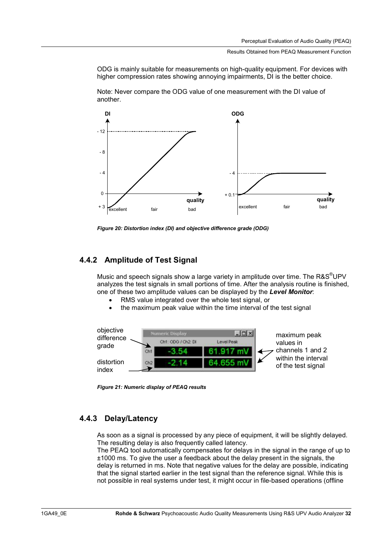ODG is mainly suitable for measurements on high-quality equipment. For devices with higher compression rates showing annoying impairments, DI is the better choice.



Note: Never compare the ODG value of one measurement with the DI value of another.

*Figure 20: Distortion index (DI) and objective difference grade (ODG)* 

### **4.4.2 Amplitude of Test Signal**

Music and speech signals show a large variety in amplitude over time. The R&S $^{\circ}$ UPV analyzes the test signals in small portions of time. After the analysis routine is finished, one of these two amplitude values can be displayed by the *Level Monitor*:

- RMS value integrated over the whole test signal, or
- the maximum peak value within the time interval of the test signal



*Figure 21: Numeric display of PEAQ results* 

### **4.4.3 Delay/Latency**

As soon as a signal is processed by any piece of equipment, it will be slightly delayed. The resulting delay is also frequently called latency.

The PEAQ tool automatically compensates for delays in the signal in the range of up to ±1000 ms. To give the user a feedback about the delay present in the signals, the delay is returned in ms. Note that negative values for the delay are possible, indicating that the signal started earlier in the test signal than the reference signal. While this is not possible in real systems under test, it might occur in file-based operations (offline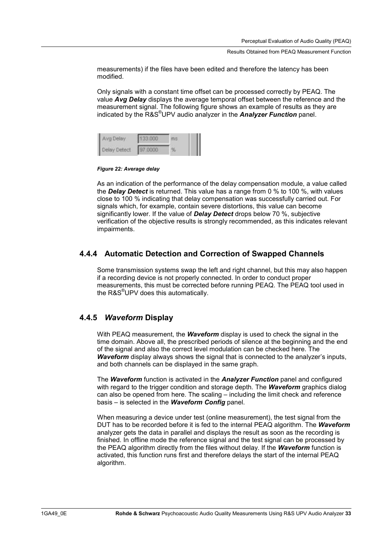measurements) if the files have been edited and therefore the latency has been modified.

Only signals with a constant time offset can be processed correctly by PEAQ. The value *Avg Delay* displays the average temporal offset between the reference and the measurement signal. The following figure shows an example of results as they are indicated by the R&S® UPV audio analyzer in the *Analyzer Function* panel.

| Avg Delay    | 133,000        |  |
|--------------|----------------|--|
| Delay Detect | <b>97,0000</b> |  |

*Figure 22: Average delay* 

As an indication of the performance of the delay compensation module, a value called the *Delay Detect* is returned. This value has a range from 0 % to 100 %, with values close to 100 % indicating that delay compensation was successfully carried out. For signals which, for example, contain severe distortions, this value can become significantly lower. If the value of *Delay Detect* drops below 70 %, subjective verification of the objective results is strongly recommended, as this indicates relevant impairments.

### **4.4.4 Automatic Detection and Correction of Swapped Channels**

Some transmission systems swap the left and right channel, but this may also happen if a recording device is not properly connected. In order to conduct proper measurements, this must be corrected before running PEAQ. The PEAQ tool used in the R&S<sup>®</sup>UPV does this automatically.

### **4.4.5** *Waveform* **Display**

With PEAQ measurement, the *Waveform* display is used to check the signal in the time domain. Above all, the prescribed periods of silence at the beginning and the end of the signal and also the correct level modulation can be checked here. The *Waveform* display always shows the signal that is connected to the analyzer's inputs, and both channels can be displayed in the same graph.

The *Waveform* function is activated in the *Analyzer Function* panel and configured with regard to the trigger condition and storage depth. The *Waveform* graphics dialog can also be opened from here. The scaling – including the limit check and reference basis – is selected in the *Waveform Config* panel.

When measuring a device under test (online measurement), the test signal from the DUT has to be recorded before it is fed to the internal PEAQ algorithm. The *Waveform* analyzer gets the data in parallel and displays the result as soon as the recording is finished. In offline mode the reference signal and the test signal can be processed by the PEAQ algorithm directly from the files without delay. If the *Waveform* function is activated, this function runs first and therefore delays the start of the internal PEAQ algorithm.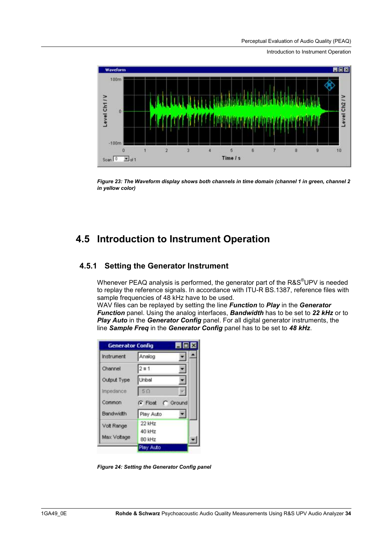Perceptual Evaluation of Audio Quality (PEAQ)

Introduction to Instrument Operation



*Figure 23: The Waveform display shows both channels in time domain (channel 1 in green, channel 2 in yellow color)* 

### **4.5 Introduction to Instrument Operation**

### **4.5.1 Setting the Generator Instrument**

Whenever PEAQ analysis is performed, the generator part of the R&S $^{\circ}$ UPV is needed to replay the reference signals. In accordance with ITU-R BS.1387, reference files with sample frequencies of 48 kHz have to be used.

WAV files can be replayed by setting the line *Function* to *Play* in the *Generator Function* panel. Using the analog interfaces, *Bandwidth* has to be set to *22 kHz* or to *Play Auto* in the *Generator Config* panel. For all digital generator instruments, the line *Sample Freq* in the *Generator Config* panel has to be set to *48 kHz*.

| <b>Generator Config</b> |                  | $\blacksquare$ $\blacksquare$ $\times$ |
|-------------------------|------------------|----------------------------------------|
| Instrument              | Analog           |                                        |
| Channel                 | $2 = 1$          |                                        |
| Output Type             | Unbal            |                                        |
| Impedance               | 50               |                                        |
| Common                  | G Float C Ground |                                        |
| Bandwidth               | Play Auto        |                                        |
| Volt Range              | 22 kHz           |                                        |
|                         | 40 kHz           |                                        |
|                         |                  |                                        |
| Max Voltage             | 80 kHz           |                                        |

*Figure 24: Setting the Generator Config panel*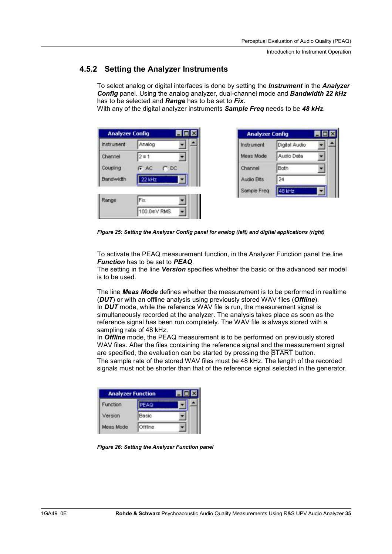Introduction to Instrument Operation

### **4.5.2 Setting the Analyzer Instruments**

To select analog or digital interfaces is done by setting the *Instrument* in the *Analyzer Config* panel. Using the analog analyzer, dual-channel mode and *Bandwidth 22 kHz* has to be selected and *Range* has to be set to *Fix*.

With any of the digital analyzer instruments *Sample Freq* needs to be *48 kHz*.

| Analog                |  |
|-----------------------|--|
| $2 \times 1$          |  |
| $G$ AC<br>$\Gamma$ DC |  |
| 22 kHz                |  |
|                       |  |

| <b>Analyzer Config</b> |               | 101 |  |
|------------------------|---------------|-----|--|
| Instrument             | Digital Audio |     |  |
| Meas Mode              | Audio Data    |     |  |
| Channel                | Both          |     |  |
| Audio Bits             | 24            |     |  |
| Sample Freq            | 48 kHz        |     |  |

*Figure 25: Setting the Analyzer Config panel for analog (left) and digital applications (right)* 

To activate the PEAQ measurement function, in the Analyzer Function panel the line *Function* has to be set to *PEAQ*.

The setting in the line *Version* specifies whether the basic or the advanced ear model is to be used.

The line *Meas Mode* defines whether the measurement is to be performed in realtime (*DUT*) or with an offline analysis using previously stored WAV files (*Offline*). In *DUT* mode, while the reference WAV file is run, the measurement signal is simultaneously recorded at the analyzer. The analysis takes place as soon as the reference signal has been run completely. The WAV file is always stored with a sampling rate of 48 kHz.

In *Offline* mode, the PEAQ measurement is to be performed on previously stored WAV files. After the files containing the reference signal and the measurement signal are specified, the evaluation can be started by pressing the START button. The sample rate of the stored WAV files must be 48 kHz. The length of the recorded signals must not be shorter than that of the reference signal selected in the generator.

| <b>Analyzer Function</b> |         |   |
|--------------------------|---------|---|
| Function                 |         | - |
| /ersion                  | Basic   |   |
| Meas Mode                | Offline |   |

*Figure 26: Setting the Analyzer Function panel*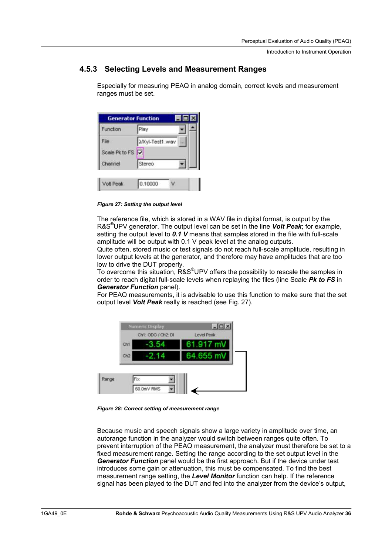Introduction to Instrument Operation

### **4.5.3 Selecting Levels and Measurement Ranges**

Especially for measuring PEAQ in analog domain, correct levels and measurement ranges must be set.

|                |         | $\blacksquare\square$ |
|----------------|---------|-----------------------|
| Play           |         |                       |
|                | w       |                       |
| Scale Pk to FS |         |                       |
| Stereo         |         |                       |
|                |         |                       |
|                | 0.10000 | 2/Xyl-Test1.wav       |

*Figure 27: Setting the output level* 

The reference file, which is stored in a WAV file in digital format, is output by the R&S® UPV generator. The output level can be set in the line *Volt Peak*; for example, setting the output level to *0.1 V* means that samples stored in the file with full-scale amplitude will be output with 0.1 V peak level at the analog outputs.

Quite often, stored music or test signals do not reach full-scale amplitude, resulting in lower output levels at the generator, and therefore may have amplitudes that are too low to drive the DUT properly.

To overcome this situation, R&S<sup>®</sup>UPV offers the possibility to rescale the samples in order to reach digital full-scale levels when replaying the files (line Scale *Pk to FS* in *Generator Function* panel).

For PEAQ measurements, it is advisable to use this function to make sure that the set output level *Volt Peak* really is reached (see Fig. 27).



*Figure 28: Correct setting of measurement range* 

Because music and speech signals show a large variety in amplitude over time, an autorange function in the analyzer would switch between ranges quite often. To prevent interruption of the PEAQ measurement, the analyzer must therefore be set to a fixed measurement range. Setting the range according to the set output level in the *Generator Function* panel would be the first approach. But if the device under test introduces some gain or attenuation, this must be compensated. To find the best measurement range setting, the *Level Monitor* function can help. If the reference signal has been played to the DUT and fed into the analyzer from the device's output,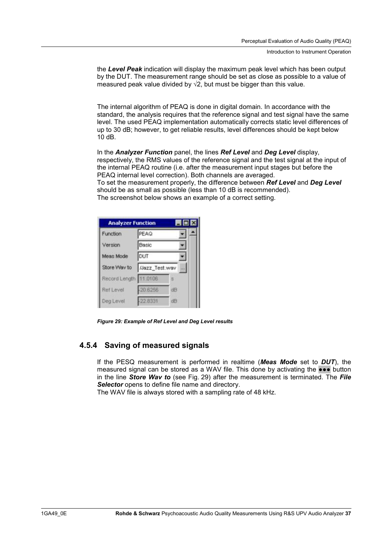the *Level Peak* indication will display the maximum peak level which has been output by the DUT. The measurement range should be set as close as possible to a value of measured peak value divided by  $\sqrt{2}$ , but must be bigger than this value.

The internal algorithm of PEAQ is done in digital domain. In accordance with the standard, the analysis requires that the reference signal and test signal have the same level. The used PEAQ implementation automatically corrects static level differences of up to 30 dB; however, to get reliable results, level differences should be kept below 10 dB.

In the *Analyzer Function* panel, the lines *Ref Level* and *Deg Level* display, respectively, the RMS values of the reference signal and the test signal at the input of the internal PEAQ routine (i.e. after the measurement input stages but before the PEAQ internal level correction). Both channels are averaged. To set the measurement properly, the difference between *Ref Level* and *Deg Level* should be as small as possible (less than 10 dB is recommended). The screenshot below shows an example of a correct setting.

| <b>Analyzer Function</b> |               |    | $\blacksquare$ $\blacksquare$ $\times$ |  |
|--------------------------|---------------|----|----------------------------------------|--|
| Function                 | <b>PEAQ</b>   |    |                                        |  |
| Version                  | Basic         |    |                                        |  |
| Meas Mode                | DUT           |    |                                        |  |
| Store Way to             | Mazz_Test.wav |    | i sis                                  |  |
| Record Length 11.0106    |               |    |                                        |  |
| Ref Level                | $-20.6256$    | dB |                                        |  |
| Deg Level                | $-22.8331$    | ďB |                                        |  |

*Figure 29: Example of Ref Level and Deg Level results* 

### **4.5.4 Saving of measured signals**

If the PESQ measurement is performed in realtime (*Meas Mode* set to *DUT*), the measured signal can be stored as a WAV file. This done by activating the  $\bullet \bullet \bullet$  button in the line *Store Wav to* (see Fig. 29) after the measurement is terminated. The *File*  **Selector** opens to define file name and directory.

The WAV file is always stored with a sampling rate of 48 kHz.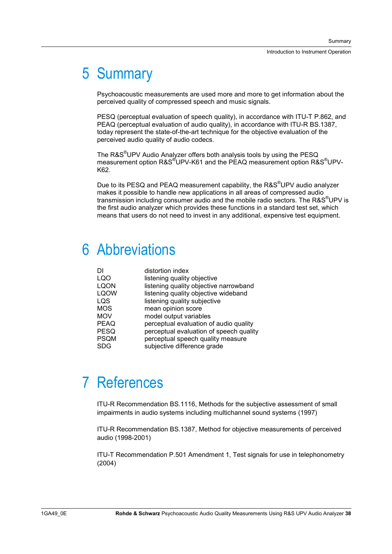# 5 Summary

Psychoacoustic measurements are used more and more to get information about the perceived quality of compressed speech and music signals.

PESQ (perceptual evaluation of speech quality), in accordance with ITU-T P.862, and PEAQ (perceptual evaluation of audio quality), in accordance with ITU-R BS.1387, today represent the state-of-the-art technique for the objective evaluation of the perceived audio quality of audio codecs.

The R&S<sup>®</sup>UPV Audio Analyzer offers both analysis tools by using the PESQ measurement option R&S<sup>®</sup>UPV-K61 and the PEAQ measurement option R&S<sup>®</sup>UPV-K62.

Due to its PESQ and PEAQ measurement capability, the R&S<sup>®</sup>UPV audio analyzer makes it possible to handle new applications in all areas of compressed audio transmission including consumer audio and the mobile radio sectors. The R&S<sup>®</sup>UPV is the first audio analyzer which provides these functions in a standard test set, which means that users do not need to invest in any additional, expensive test equipment.

# 6 Abbreviations

| DI          | distortion index                        |
|-------------|-----------------------------------------|
| LQO         | listening quality objective             |
| LQON        | listening quality objective narrowband  |
| <b>LQOW</b> | listening quality objective wideband    |
| LQS         | listening quality subjective            |
| <b>MOS</b>  | mean opinion score                      |
| <b>MOV</b>  | model output variables                  |
| PEAQ        | perceptual evaluation of audio quality  |
| PESQ        | perceptual evaluation of speech quality |
| PSQM        | perceptual speech quality measure       |
| SDG         | subjective difference grade             |
|             |                                         |

# 7 References

ITU-R Recommendation BS.1116, Methods for the subjective assessment of small impairments in audio systems including multichannel sound systems (1997)

ITU-R Recommendation BS.1387, Method for objective measurements of perceived audio (1998-2001)

ITU-T Recommendation P.501 Amendment 1, Test signals for use in telephonometry (2004)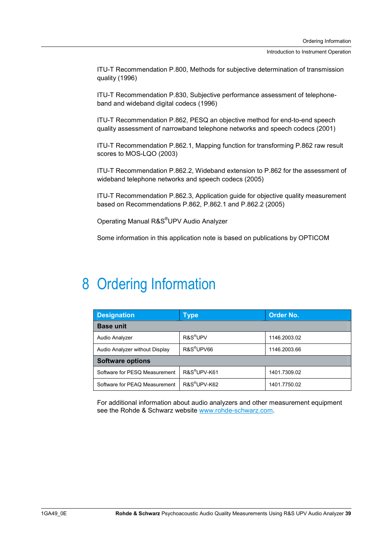Introduction to Instrument Operation

ITU-T Recommendation P.800, Methods for subjective determination of transmission quality (1996)

ITU-T Recommendation P.830, Subjective performance assessment of telephoneband and wideband digital codecs (1996)

ITU-T Recommendation P.862, PESQ an objective method for end-to-end speech quality assessment of narrowband telephone networks and speech codecs (2001)

ITU-T Recommendation P.862.1, Mapping function for transforming P.862 raw result scores to MOS-LQO (2003)

ITU-T Recommendation P.862.2, Wideband extension to P.862 for the assessment of wideband telephone networks and speech codecs (2005)

ITU-T Recommendation P.862.3, Application guide for objective quality measurement based on Recommendations P.862, P.862.1 and P.862.2 (2005)

Operating Manual R&S® UPV Audio Analyzer

Some information in this application note is based on publications by OPTICOM

## 8 Ordering Information

| <b>Designation</b>             | Type                     | Order No.    |  |
|--------------------------------|--------------------------|--------------|--|
| <b>Base unit</b>               |                          |              |  |
| Audio Analyzer                 | R&S <sup>®</sup> UPV     | 1146.2003.02 |  |
| Audio Analyzer without Display | R&S <sup>®</sup> UPV66   | 1146.2003.66 |  |
| <b>Software options</b>        |                          |              |  |
| Software for PESQ Measurement  | R&S <sup>®</sup> UPV-K61 | 1401.7309.02 |  |
| Software for PEAQ Measurement  | R&S <sup>®</sup> UPV-K62 | 1401.7750.02 |  |

For additional information about audio analyzers and other measurement equipment see the Rohde & Schwarz website www.rohde-schwarz.com.